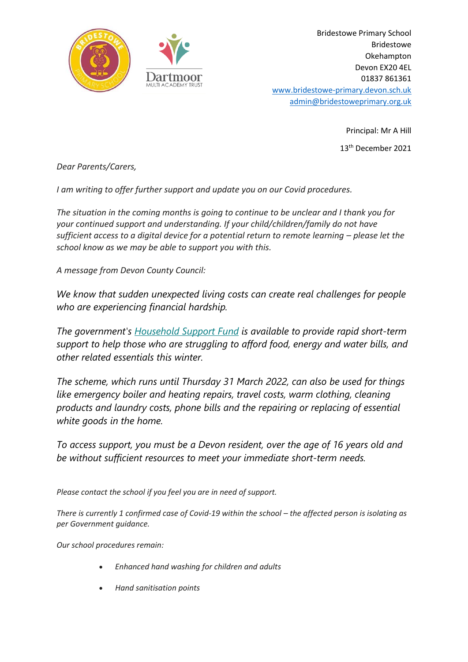

Bridestowe Primary School Bridestowe Okehampton Devon EX20 4EL 01837 861361 [www.bridestowe-primary.devon.sch.uk](http://www.bridestowe-primary.devon.sch.uk/) [admin@bridestoweprimary.org.uk](mailto:admin@bridestoweprimary.org.uk)

> Principal: Mr A Hill 13 th December 2021

*Dear Parents/Carers,*

*I am writing to offer further support and update you on our Covid procedures.*

*The situation in the coming months is going to continue to be unclear and I thank you for your continued support and understanding. If your child/children/family do not have sufficient access to a digital device for a potential return to remote learning – please let the school know as we may be able to support you with this.*

*A message from Devon County Council:*

*We know that sudden unexpected living costs can create real challenges for people who are experiencing financial hardship.*

*The government's [Household](https://eur03.safelinks.protection.outlook.com/?url=https%3A%2F%2Flinkprotect.cudasvc.com%2Furl%3Fa%3Dhttps%253a%252f%252flnks.gd%252fl%252feyJhbGciOiJIUzI1NiJ9.eyJidWxsZXRpbl9saW5rX2lkIjoxMDksInVyaSI6ImJwMjpjbGljayIsImJ1bGxldGluX2lkIjoiMjAyMTEyMDMuNDk3MjkzMDEiLCJ1cmwiOiJodHRwczovL3d3dy5kZXZvbi5nb3YudWsvY29yb25hdmlydXMtYWR2aWNlLWluLWRldm9uL2tlZXBpbmctc2FmZS13ZWxsL2hvdXNlaG9sZC1zdXBwb3J0LWZ1bmQvIn0.MXet81hlZp_duyENEpWvm-6qxnlhl91TJz-vECf9TC8%252fs%252f1126597709%252fbr%252f122232013210-l%26c%3DE%2C1%2C9iI3fyXPnonQ-7nuAtdGiMPgVd-U5MVdVSydIp4AnrU6C_Ckt0GHZABjwZPpPx17Qc0SbleowWqzcmQdfL9m5yu-j0U8Q06171SzP2snvW_VYhHFij7Tk4FyZSk%2C%26typo%3D1&data=04%7C01%7Cadmin%40bridestoweprimary.org.uk%7C20f788fe370540646c9d08d9be1eb25f%7C3b076d9078b24abd9e05c20f26289c46%7C0%7C0%7C637749861306379734%7CUnknown%7CTWFpbGZsb3d8eyJWIjoiMC4wLjAwMDAiLCJQIjoiV2luMzIiLCJBTiI6Ik1haWwiLCJXVCI6Mn0%3D%7C3000&sdata=4XEUL%2FnkIDOYmpo9LEllCqYKUXyAsfprVHT9yqU4KOU%3D&reserved=0) Support Fund is available to provide rapid short-term support to help those who are struggling to afford food, energy and water bills, and other related essentials this winter.*

*The scheme, which runs until Thursday 31 March 2022, can also be used for things like emergency boiler and heating repairs, travel costs, warm clothing, cleaning products and laundry costs, phone bills and the repairing or replacing of essential white goods in the home.*

*To access support, you must be a Devon resident, over the age of 16 years old and be without sufficient resources to meet your immediate short-term needs.*

*Please contact the school if you feel you are in need of support.*

*There is currently 1 confirmed case of Covid-19 within the school – the affected person is isolating as per Government guidance.*

*Our school procedures remain:*

- *Enhanced hand washing for children and adults*
- *Hand sanitisation points*